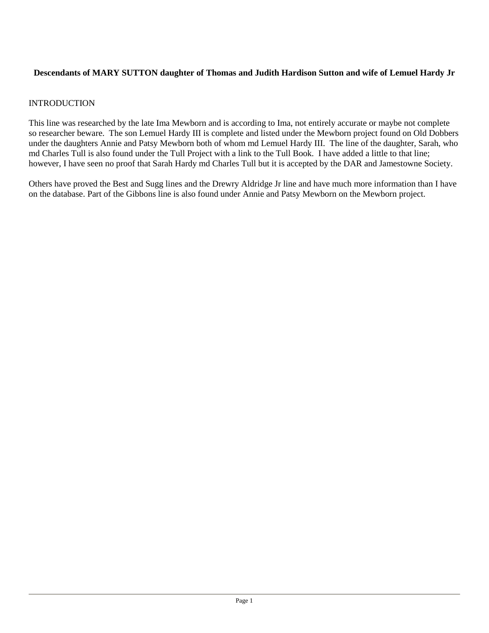# **Descendants of MARY SUTTON daughter of Thomas and Judith Hardison Sutton and wife of Lemuel Hardy Jr**

# **INTRODUCTION**

This line was researched by the late Ima Mewborn and is according to Ima, not entirely accurate or maybe not complete so researcher beware. The son Lemuel Hardy III is complete and listed under the Mewborn project found on Old Dobbers under the daughters Annie and Patsy Mewborn both of whom md Lemuel Hardy III. The line of the daughter, Sarah, who md Charles Tull is also found under the Tull Project with a link to the Tull Book. I have added a little to that line; however, I have seen no proof that Sarah Hardy md Charles Tull but it is accepted by the DAR and Jamestowne Society.

Others have proved the Best and Sugg lines and the Drewry Aldridge Jr line and have much more information than I have on the database. Part of the Gibbons line is also found under Annie and Patsy Mewborn on the Mewborn project.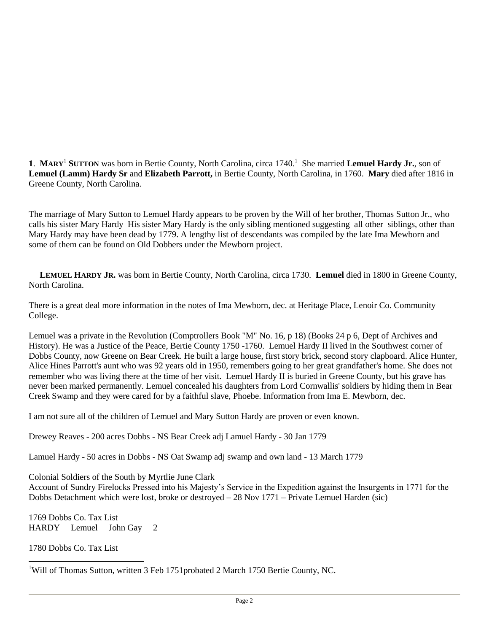1. MARY<sup>1</sup> SUTTON was born in Bertie County, North Carolina, circa 1740.<sup>1</sup> She married Lemuel Hardy Jr., son of **Lemuel (Lamm) Hardy Sr** and **Elizabeth Parrott,** in Bertie County, North Carolina, in 1760. **Mary** died after 1816 in Greene County, North Carolina.

The marriage of Mary Sutton to Lemuel Hardy appears to be proven by the Will of her brother, Thomas Sutton Jr., who calls his sister Mary Hardy His sister Mary Hardy is the only sibling mentioned suggesting all other siblings, other than Mary Hardy may have been dead by 1779. A lengthy list of descendants was compiled by the late Ima Mewborn and some of them can be found on Old Dobbers under the Mewborn project.

 **LEMUEL HARDY JR.** was born in Bertie County, North Carolina, circa 1730. **Lemuel** died in 1800 in Greene County, North Carolina.

There is a great deal more information in the notes of Ima Mewborn, dec. at Heritage Place, Lenoir Co. Community College.

Lemuel was a private in the Revolution (Comptrollers Book "M" No. 16, p 18) (Books 24 p 6, Dept of Archives and History). He was a Justice of the Peace, Bertie County 1750 -1760. Lemuel Hardy II lived in the Southwest corner of Dobbs County, now Greene on Bear Creek. He built a large house, first story brick, second story clapboard. Alice Hunter, Alice Hines Parrott's aunt who was 92 years old in 1950, remembers going to her great grandfather's home. She does not remember who was living there at the time of her visit. Lemuel Hardy II is buried in Greene County, but his grave has never been marked permanently. Lemuel concealed his daughters from Lord Cornwallis' soldiers by hiding them in Bear Creek Swamp and they were cared for by a faithful slave, Phoebe. Information from Ima E. Mewborn, dec.

I am not sure all of the children of Lemuel and Mary Sutton Hardy are proven or even known.

Drewey Reaves - 200 acres Dobbs - NS Bear Creek adj Lamuel Hardy - 30 Jan 1779

Lamuel Hardy - 50 acres in Dobbs - NS Oat Swamp adj swamp and own land - 13 March 1779

Colonial Soldiers of the South by Myrtlie June Clark

Account of Sundry Firelocks Pressed into his Majesty's Service in the Expedition against the Insurgents in 1771 for the Dobbs Detachment which were lost, broke or destroyed – 28 Nov 1771 – Private Lemuel Harden (sic)

1769 Dobbs Co. Tax List HARDY Lemuel John Gay 2

1780 Dobbs Co. Tax List

 $\overline{a}$ 

<sup>1</sup>Will of Thomas Sutton, written 3 Feb 1751probated 2 March 1750 Bertie County, NC.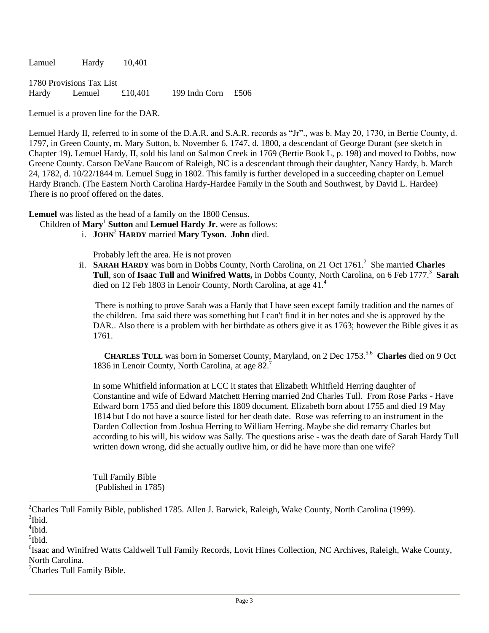Lamuel Hardy 10,401

1780 Provisions Tax List Hardy Lemuel £10,401 199 Indn Corn £506

Lemuel is a proven line for the DAR.

Lemuel Hardy II, referred to in some of the D.A.R. and S.A.R. records as "Jr"., was b. May 20, 1730, in Bertie County, d. 1797, in Green County, m. Mary Sutton, b. November 6, 1747, d. 1800, a descendant of George Durant (see sketch in Chapter 19). Lemuel Hardy, II, sold his land on Salmon Creek in 1769 (Bertie Book L, p. 198) and moved to Dobbs, now Greene County. Carson DeVane Baucom of Raleigh, NC is a descendant through their daughter, Nancy Hardy, b. March 24, 1782, d. 10/22/1844 m. Lemuel Sugg in 1802. This family is further developed in a succeeding chapter on Lemuel Hardy Branch. (The Eastern North Carolina Hardy-Hardee Family in the South and Southwest, by David L. Hardee) There is no proof offered on the dates.

**Lemuel** was listed as the head of a family on the 1800 Census.

- Children of **Mary**<sup>1</sup> **Sutton** and **Lemuel Hardy Jr.** were as follows:
	- i. **JOHN**<sup>2</sup> **HARDY** married **Mary Tyson. John** died.

Probably left the area. He is not proven

ii. SARAH HARDY was born in Dobbs County, North Carolina, on 21 Oct 1761.<sup>2</sup> She married Charles **Tull**, son of **Isaac Tull** and **Winifred Watts,** in Dobbs County, North Carolina, on 6 Feb 1777.<sup>3</sup> **Sarah** died on 12 Feb 1803 in Lenoir County, North Carolina, at age 41.<sup>4</sup>

There is nothing to prove Sarah was a Hardy that I have seen except family tradition and the names of the children. Ima said there was something but I can't find it in her notes and she is approved by the DAR.. Also there is a problem with her birthdate as others give it as 1763; however the Bible gives it as 1761.

**CHARLES TULL** was born in Somerset County, Maryland, on 2 Dec 1753.<sup>5,6</sup> Charles died on 9 Oct 1836 in Lenoir County, North Carolina, at age 82.<sup>7</sup>

In some Whitfield information at LCC it states that Elizabeth Whitfield Herring daughter of Constantine and wife of Edward Matchett Herring married 2nd Charles Tull. From Rose Parks - Have Edward born 1755 and died before this 1809 document. Elizabeth born about 1755 and died 19 May 1814 but I do not have a source listed for her death date. Rose was referring to an instrument in the Darden Collection from Joshua Herring to William Herring. Maybe she did remarry Charles but according to his will, his widow was Sally. The questions arise - was the death date of Sarah Hardy Tull written down wrong, did she actually outlive him, or did he have more than one wife?

Tull Family Bible (Published in 1785)

 $\overline{a}$ 

<sup>7</sup>Charles Tull Family Bible.

<sup>&</sup>lt;sup>2</sup>Charles Tull Family Bible, published 1785. Allen J. Barwick, Raleigh, Wake County, North Carolina (1999). <sup>3</sup>Ibid.

<sup>4</sup> Ibid.

<sup>5</sup> Ibid.

<sup>6</sup> Isaac and Winifred Watts Caldwell Tull Family Records, Lovit Hines Collection, NC Archives, Raleigh, Wake County, North Carolina.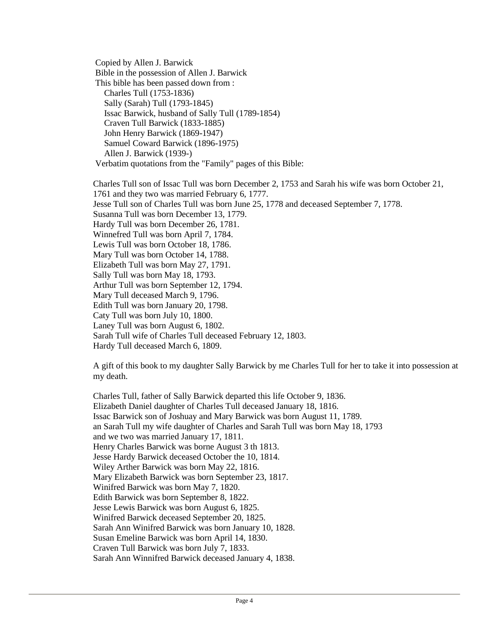Copied by Allen J. Barwick Bible in the possession of Allen J. Barwick This bible has been passed down from : Charles Tull (1753-1836) Sally (Sarah) Tull (1793-1845) Issac Barwick, husband of Sally Tull (1789-1854) Craven Tull Barwick (1833-1885) John Henry Barwick (1869-1947) Samuel Coward Barwick (1896-1975) Allen J. Barwick (1939-) Verbatim quotations from the "Family" pages of this Bible:

Charles Tull son of Issac Tull was born December 2, 1753 and Sarah his wife was born October 21, 1761 and they two was married February 6, 1777. Jesse Tull son of Charles Tull was born June 25, 1778 and deceased September 7, 1778. Susanna Tull was born December 13, 1779. Hardy Tull was born December 26, 1781. Winnefred Tull was born April 7, 1784. Lewis Tull was born October 18, 1786. Mary Tull was born October 14, 1788. Elizabeth Tull was born May 27, 1791. Sally Tull was born May 18, 1793. Arthur Tull was born September 12, 1794. Mary Tull deceased March 9, 1796. Edith Tull was born January 20, 1798. Caty Tull was born July 10, 1800. Laney Tull was born August 6, 1802. Sarah Tull wife of Charles Tull deceased February 12, 1803. Hardy Tull deceased March 6, 1809.

A gift of this book to my daughter Sally Barwick by me Charles Tull for her to take it into possession at my death.

Charles Tull, father of Sally Barwick departed this life October 9, 1836. Elizabeth Daniel daughter of Charles Tull deceased January 18, 1816. Issac Barwick son of Joshuay and Mary Barwick was born August 11, 1789. an Sarah Tull my wife daughter of Charles and Sarah Tull was born May 18, 1793 and we two was married January 17, 1811. Henry Charles Barwick was borne August 3 th 1813. Jesse Hardy Barwick deceased October the 10, 1814. Wiley Arther Barwick was born May 22, 1816. Mary Elizabeth Barwick was born September 23, 1817. Winifred Barwick was born May 7, 1820. Edith Barwick was born September 8, 1822. Jesse Lewis Barwick was born August 6, 1825. Winifred Barwick deceased September 20, 1825. Sarah Ann Winifred Barwick was born January 10, 1828. Susan Emeline Barwick was born April 14, 1830. Craven Tull Barwick was born July 7, 1833. Sarah Ann Winnifred Barwick deceased January 4, 1838.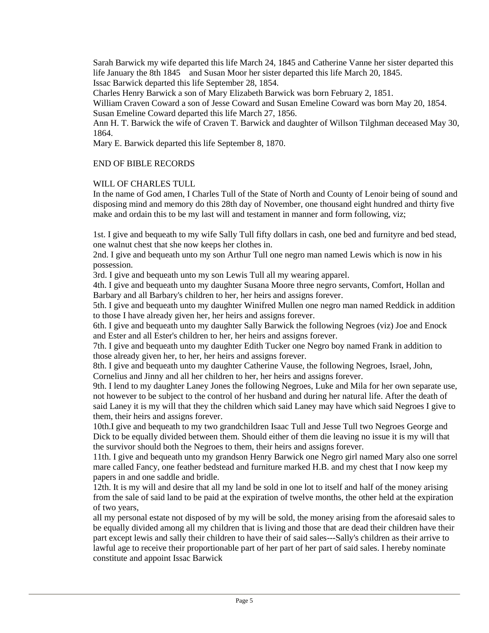Sarah Barwick my wife departed this life March 24, 1845 and Catherine Vanne her sister departed this life January the 8th 1845 and Susan Moor her sister departed this life March 20, 1845. Issac Barwick departed this life September 28, 1854.

Charles Henry Barwick a son of Mary Elizabeth Barwick was born February 2, 1851.

William Craven Coward a son of Jesse Coward and Susan Emeline Coward was born May 20, 1854. Susan Emeline Coward departed this life March 27, 1856.

Ann H. T. Barwick the wife of Craven T. Barwick and daughter of Willson Tilghman deceased May 30, 1864.

Mary E. Barwick departed this life September 8, 1870.

## END OF BIBLE RECORDS

## WILL OF CHARLES TULL

In the name of God amen, I Charles Tull of the State of North and County of Lenoir being of sound and disposing mind and memory do this 28th day of November, one thousand eight hundred and thirty five make and ordain this to be my last will and testament in manner and form following, viz;

1st. I give and bequeath to my wife Sally Tull fifty dollars in cash, one bed and furnityre and bed stead, one walnut chest that she now keeps her clothes in.

2nd. I give and bequeath unto my son Arthur Tull one negro man named Lewis which is now in his possession.

3rd. I give and bequeath unto my son Lewis Tull all my wearing apparel.

4th. I give and bequeath unto my daughter Susana Moore three negro servants, Comfort, Hollan and Barbary and all Barbary's children to her, her heirs and assigns forever.

5th. I give and bequeath unto my daughter Winifred Mullen one negro man named Reddick in addition to those I have already given her, her heirs and assigns forever.

6th. I give and bequeath unto my daughter Sally Barwick the following Negroes (viz) Joe and Enock and Ester and all Ester's children to her, her heirs and assigns forever.

7th. I give and bequeath unto my daughter Edith Tucker one Negro boy named Frank in addition to those already given her, to her, her heirs and assigns forever.

8th. I give and bequeath unto my daughter Catherine Vause, the following Negroes, Israel, John, Cornelius and Jinny and all her children to her, her heirs and assigns forever.

9th. I lend to my daughter Laney Jones the following Negroes, Luke and Mila for her own separate use, not however to be subject to the control of her husband and during her natural life. After the death of said Laney it is my will that they the children which said Laney may have which said Negroes I give to them, their heirs and assigns forever.

10th.I give and bequeath to my two grandchildren Isaac Tull and Jesse Tull two Negroes George and Dick to be equally divided between them. Should either of them die leaving no issue it is my will that the survivor should both the Negroes to them, their heirs and assigns forever.

11th. I give and bequeath unto my grandson Henry Barwick one Negro girl named Mary also one sorrel mare called Fancy, one feather bedstead and furniture marked H.B. and my chest that I now keep my papers in and one saddle and bridle.

12th. It is my will and desire that all my land be sold in one lot to itself and half of the money arising from the sale of said land to be paid at the expiration of twelve months, the other held at the expiration of two years,

all my personal estate not disposed of by my will be sold, the money arising from the aforesaid sales to be equally divided among all my children that is living and those that are dead their children have their part except lewis and sally their children to have their of said sales---Sally's children as their arrive to lawful age to receive their proportionable part of her part of her part of said sales. I hereby nominate constitute and appoint Issac Barwick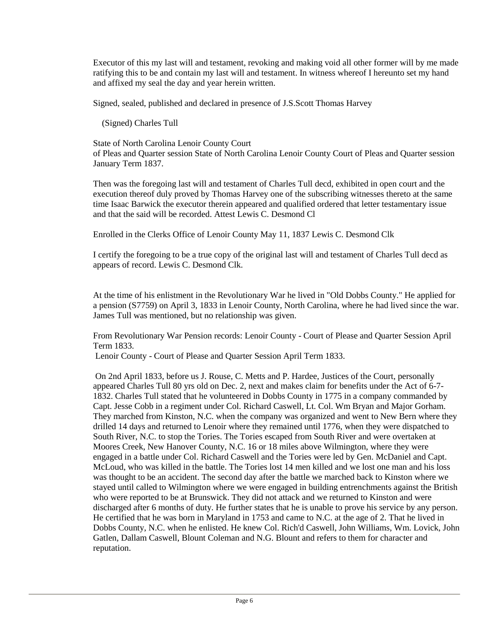Executor of this my last will and testament, revoking and making void all other former will by me made ratifying this to be and contain my last will and testament. In witness whereof I hereunto set my hand and affixed my seal the day and year herein written.

Signed, sealed, published and declared in presence of J.S.Scott Thomas Harvey

(Signed) Charles Tull

State of North Carolina Lenoir County Court of Pleas and Quarter session State of North Carolina Lenoir County Court of Pleas and Quarter session January Term 1837.

Then was the foregoing last will and testament of Charles Tull decd, exhibited in open court and the execution thereof duly proved by Thomas Harvey one of the subscribing witnesses thereto at the same time Isaac Barwick the executor therein appeared and qualified ordered that letter testamentary issue and that the said will be recorded. Attest Lewis C. Desmond Cl

Enrolled in the Clerks Office of Lenoir County May 11, 1837 Lewis C. Desmond Clk

I certify the foregoing to be a true copy of the original last will and testament of Charles Tull decd as appears of record. Lewis C. Desmond Clk.

At the time of his enlistment in the Revolutionary War he lived in "Old Dobbs County." He applied for a pension (S7759) on April 3, 1833 in Lenoir County, North Carolina, where he had lived since the war. James Tull was mentioned, but no relationship was given.

From Revolutionary War Pension records: Lenoir County - Court of Please and Quarter Session April Term 1833.

Lenoir County - Court of Please and Quarter Session April Term 1833.

On 2nd April 1833, before us J. Rouse, C. Metts and P. Hardee, Justices of the Court, personally appeared Charles Tull 80 yrs old on Dec. 2, next and makes claim for benefits under the Act of 6-7- 1832. Charles Tull stated that he volunteered in Dobbs County in 1775 in a company commanded by Capt. Jesse Cobb in a regiment under Col. Richard Caswell, Lt. Col. Wm Bryan and Major Gorham. They marched from Kinston, N.C. when the company was organized and went to New Bern where they drilled 14 days and returned to Lenoir where they remained until 1776, when they were dispatched to South River, N.C. to stop the Tories. The Tories escaped from South River and were overtaken at Moores Creek, New Hanover County, N.C. 16 or 18 miles above Wilmington, where they were engaged in a battle under Col. Richard Caswell and the Tories were led by Gen. McDaniel and Capt. McLoud, who was killed in the battle. The Tories lost 14 men killed and we lost one man and his loss was thought to be an accident. The second day after the battle we marched back to Kinston where we stayed until called to Wilmington where we were engaged in building entrenchments against the British who were reported to be at Brunswick. They did not attack and we returned to Kinston and were discharged after 6 months of duty. He further states that he is unable to prove his service by any person. He certified that he was born in Maryland in 1753 and came to N.C. at the age of 2. That he lived in Dobbs County, N.C. when he enlisted. He knew Col. Rich'd Caswell, John Williams, Wm. Lovick, John Gatlen, Dallam Caswell, Blount Coleman and N.G. Blount and refers to them for character and reputation.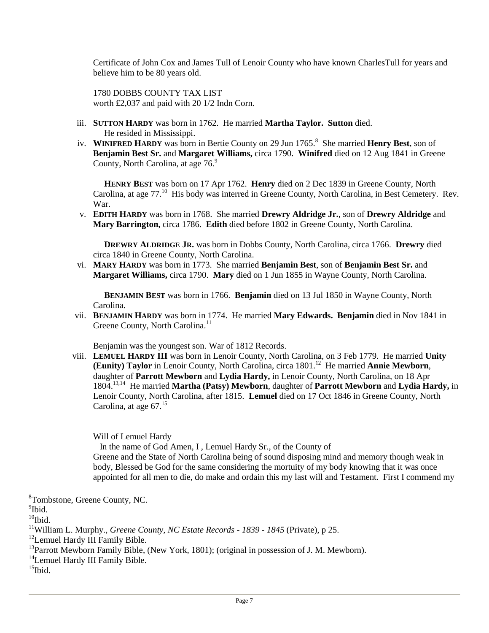Certificate of John Cox and James Tull of Lenoir County who have known CharlesTull for years and believe him to be 80 years old.

1780 DOBBS COUNTY TAX LIST worth £2,037 and paid with 20 1/2 Indn Corn.

- iii. **SUTTON HARDY** was born in 1762. He married **Martha Taylor. Sutton** died. He resided in Mississippi.
- iv. WINIFRED HARDY was born in Bertie County on 29 Jun 1765.<sup>8</sup> She married Henry Best, son of **Benjamin Best Sr.** and **Margaret Williams,** circa 1790. **Winifred** died on 12 Aug 1841 in Greene County, North Carolina, at age 76.9

 **HENRY BEST** was born on 17 Apr 1762. **Henry** died on 2 Dec 1839 in Greene County, North Carolina, at age 77.<sup>10</sup> His body was interred in Greene County, North Carolina, in Best Cemetery. Rev. War.

v. **EDITH HARDY** was born in 1768. She married **Drewry Aldridge Jr.**, son of **Drewry Aldridge** and **Mary Barrington,** circa 1786. **Edith** died before 1802 in Greene County, North Carolina.

 **DREWRY ALDRIDGE JR.** was born in Dobbs County, North Carolina, circa 1766. **Drewry** died circa 1840 in Greene County, North Carolina.

vi. **MARY HARDY** was born in 1773. She married **Benjamin Best**, son of **Benjamin Best Sr.** and **Margaret Williams,** circa 1790. **Mary** died on 1 Jun 1855 in Wayne County, North Carolina.

 **BENJAMIN BEST** was born in 1766. **Benjamin** died on 13 Jul 1850 in Wayne County, North Carolina.

vii. **BENJAMIN HARDY** was born in 1774. He married **Mary Edwards. Benjamin** died in Nov 1841 in Greene County, North Carolina.<sup>11</sup>

Benjamin was the youngest son. War of 1812 Records.

viii. **LEMUEL HARDY III** was born in Lenoir County, North Carolina, on 3 Feb 1779. He married **Unity (Eunity) Taylor** in Lenoir County, North Carolina, circa 1801.<sup>12</sup> He married **Annie Mewborn**, daughter of **Parrott Mewborn** and **Lydia Hardy,** in Lenoir County, North Carolina, on 18 Apr 1804.13,14 He married **Martha (Patsy) Mewborn**, daughter of **Parrott Mewborn** and **Lydia Hardy,** in Lenoir County, North Carolina, after 1815. **Lemuel** died on 17 Oct 1846 in Greene County, North Carolina, at age 67.<sup>15</sup>

Will of Lemuel Hardy

In the name of God Amen, I , Lemuel Hardy Sr., of the County of

Greene and the State of North Carolina being of sound disposing mind and memory though weak in body, Blessed be God for the same considering the mortuity of my body knowing that it was once appointed for all men to die, do make and ordain this my last will and Testament. First I commend my

l

<sup>14</sup>Lemuel Hardy III Family Bible.

<sup>8</sup>Tombstone, Greene County, NC.

<sup>&</sup>lt;sup>9</sup>Ibid.

 $10$ Ibid.

<sup>11</sup>William L. Murphy., *Greene County, NC Estate Records - 1839 - 1845* (Private), p 25.

<sup>&</sup>lt;sup>12</sup>Lemuel Hardy III Family Bible.

<sup>&</sup>lt;sup>13</sup>Parrott Mewborn Family Bible, (New York, 1801); (original in possession of J. M. Mewborn).

 $15$ Ibid.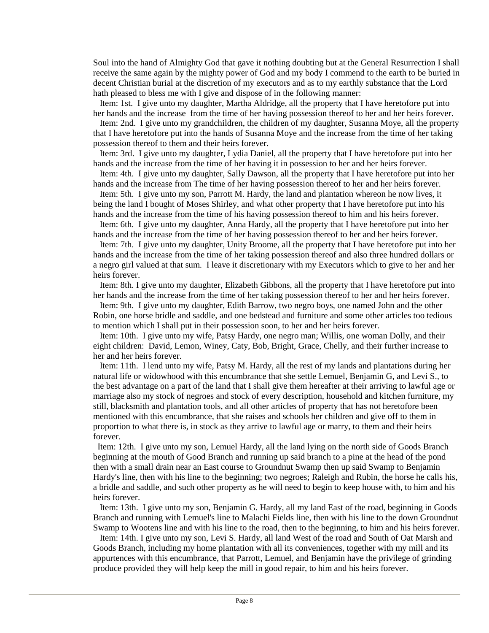Soul into the hand of Almighty God that gave it nothing doubting but at the General Resurrection I shall receive the same again by the mighty power of God and my body I commend to the earth to be buried in decent Christian burial at the discretion of my executors and as to my earthly substance that the Lord hath pleased to bless me with I give and dispose of in the following manner:

 Item: 1st. I give unto my daughter, Martha Aldridge, all the property that I have heretofore put into her hands and the increase from the time of her having possession thereof to her and her heirs forever.

 Item: 2nd. I give unto my grandchildren, the children of my daughter, Susanna Moye, all the property that I have heretofore put into the hands of Susanna Moye and the increase from the time of her taking possession thereof to them and their heirs forever.

 Item: 3rd. I give unto my daughter, Lydia Daniel, all the property that I have heretofore put into her hands and the increase from the time of her having it in possession to her and her heirs forever.

 Item: 4th. I give unto my daughter, Sally Dawson, all the property that I have heretofore put into her hands and the increase from The time of her having possession thereof to her and her heirs forever.

 Item: 5th. I give unto my son, Parrott M. Hardy, the land and plantation whereon he now lives, it being the land I bought of Moses Shirley, and what other property that I have heretofore put into his hands and the increase from the time of his having possession thereof to him and his heirs forever.

 Item: 6th. I give unto my daughter, Anna Hardy, all the property that I have heretofore put into her hands and the increase from the time of her having possession thereof to her and her heirs forever.

 Item: 7th. I give unto my daughter, Unity Broome, all the property that I have heretofore put into her hands and the increase from the time of her taking possession thereof and also three hundred dollars or a negro girl valued at that sum. I leave it discretionary with my Executors which to give to her and her heirs forever.

 Item: 8th. I give unto my daughter, Elizabeth Gibbons, all the property that I have heretofore put into her hands and the increase from the time of her taking possession thereof to her and her heirs forever.

 Item: 9th. I give unto my daughter, Edith Barrow, two negro boys, one named John and the other Robin, one horse bridle and saddle, and one bedstead and furniture and some other articles too tedious to mention which I shall put in their possession soon, to her and her heirs forever.

 Item: 10th. I give unto my wife, Patsy Hardy, one negro man; Willis, one woman Dolly, and their eight children: David, Lemon, Winey, Caty, Bob, Bright, Grace, Chelly, and their further increase to her and her heirs forever.

 Item: 11th. I lend unto my wife, Patsy M. Hardy, all the rest of my lands and plantations during her natural life or widowhood with this encumbrance that she settle Lemuel, Benjamin G, and Levi S., to the best advantage on a part of the land that I shall give them hereafter at their arriving to lawful age or marriage also my stock of negroes and stock of every description, household and kitchen furniture, my still, blacksmith and plantation tools, and all other articles of property that has not heretofore been mentioned with this encumbrance, that she raises and schools her children and give off to them in proportion to what there is, in stock as they arrive to lawful age or marry, to them and their heirs forever.

 Item: 12th. I give unto my son, Lemuel Hardy, all the land lying on the north side of Goods Branch beginning at the mouth of Good Branch and running up said branch to a pine at the head of the pond then with a small drain near an East course to Groundnut Swamp then up said Swamp to Benjamin Hardy's line, then with his line to the beginning; two negroes; Raleigh and Rubin, the horse he calls his, a bridle and saddle, and such other property as he will need to begin to keep house with, to him and his heirs forever.

 Item: 13th. I give unto my son, Benjamin G. Hardy, all my land East of the road, beginning in Goods Branch and running with Lemuel's line to Malachi Fields line, then with his line to the down Groundnut Swamp to Wootens line and with his line to the road, then to the beginning, to him and his heirs forever.

 Item: 14th. I give unto my son, Levi S. Hardy, all land West of the road and South of Oat Marsh and Goods Branch, including my home plantation with all its conveniences, together with my mill and its appurtences with this encumbrance, that Parrott, Lemuel, and Benjamin have the privilege of grinding produce provided they will help keep the mill in good repair, to him and his heirs forever.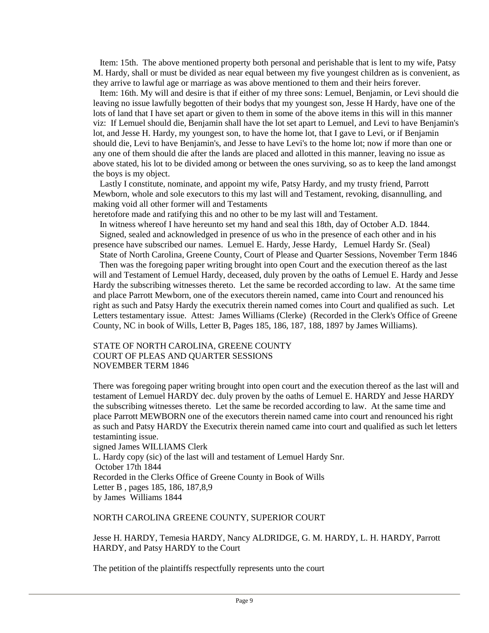Item: 15th. The above mentioned property both personal and perishable that is lent to my wife, Patsy M. Hardy, shall or must be divided as near equal between my five youngest children as is convenient, as they arrive to lawful age or marriage as was above mentioned to them and their heirs forever.

 Item: 16th. My will and desire is that if either of my three sons: Lemuel, Benjamin, or Levi should die leaving no issue lawfully begotten of their bodys that my youngest son, Jesse H Hardy, have one of the lots of land that I have set apart or given to them in some of the above items in this will in this manner viz: If Lemuel should die, Benjamin shall have the lot set apart to Lemuel, and Levi to have Benjamin's lot, and Jesse H. Hardy, my youngest son, to have the home lot, that I gave to Levi, or if Benjamin should die, Levi to have Benjamin's, and Jesse to have Levi's to the home lot; now if more than one or any one of them should die after the lands are placed and allotted in this manner, leaving no issue as above stated, his lot to be divided among or between the ones surviving, so as to keep the land amongst the boys is my object.

 Lastly I constitute, nominate, and appoint my wife, Patsy Hardy, and my trusty friend, Parrott Mewborn, whole and sole executors to this my last will and Testament, revoking, disannulling, and making void all other former will and Testaments

heretofore made and ratifying this and no other to be my last will and Testament.

 In witness whereof I have hereunto set my hand and seal this 18th, day of October A.D. 1844. Signed, sealed and acknowledged in presence of us who in the presence of each other and in his

presence have subscribed our names. Lemuel E. Hardy, Jesse Hardy, Lemuel Hardy Sr. (Seal) State of North Carolina, Greene County, Court of Please and Quarter Sessions, November Term 1846

 Then was the foregoing paper writing brought into open Court and the execution thereof as the last will and Testament of Lemuel Hardy, deceased, duly proven by the oaths of Lemuel E. Hardy and Jesse Hardy the subscribing witnesses thereto. Let the same be recorded according to law. At the same time and place Parrott Mewborn, one of the executors therein named, came into Court and renounced his right as such and Patsy Hardy the executrix therein named comes into Court and qualified as such. Let Letters testamentary issue. Attest: James Williams (Clerke) (Recorded in the Clerk's Office of Greene County, NC in book of Wills, Letter B, Pages 185, 186, 187, 188, 1897 by James Williams).

### STATE OF NORTH CAROLINA, GREENE COUNTY COURT OF PLEAS AND QUARTER SESSIONS NOVEMBER TERM 1846

There was foregoing paper writing brought into open court and the execution thereof as the last will and testament of Lemuel HARDY dec. duly proven by the oaths of Lemuel E. HARDY and Jesse HARDY the subscribing witnesses thereto. Let the same be recorded according to law. At the same time and place Parrott MEWBORN one of the executors therein named came into court and renounced his right as such and Patsy HARDY the Executrix therein named came into court and qualified as such let letters testaminting issue.

signed James WILLIAMS Clerk L. Hardy copy (sic) of the last will and testament of Lemuel Hardy Snr. October 17th 1844 Recorded in the Clerks Office of Greene County in Book of Wills Letter B , pages 185, 186, 187,8,9 by James Williams 1844

### NORTH CAROLINA GREENE COUNTY, SUPERIOR COURT

Jesse H. HARDY, Temesia HARDY, Nancy ALDRIDGE, G. M. HARDY, L. H. HARDY, Parrott HARDY, and Patsy HARDY to the Court

The petition of the plaintiffs respectfully represents unto the court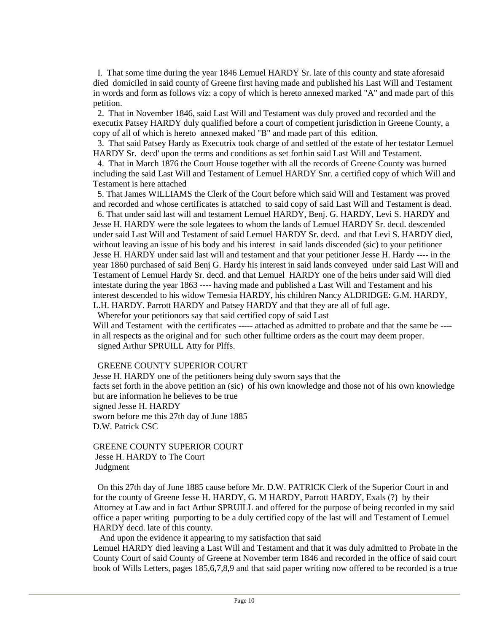I. That some time during the year 1846 Lemuel HARDY Sr. late of this county and state aforesaid died domiciled in said county of Greene first having made and published his Last Will and Testament in words and form as follows viz: a copy of which is hereto annexed marked "A" and made part of this petition.

 2. That in November 1846, said Last Will and Testament was duly proved and recorded and the executix Patsey HARDY duly qualified before a court of competient jurisdiction in Greene County, a copy of all of which is hereto annexed maked "B" and made part of this edition.

 3. That said Patsey Hardy as Executrix took charge of and settled of the estate of her testator Lemuel HARDY Sr. decd' upon the terms and conditions as set forthin said Last Will and Testament.

 4. That in March 1876 the Court House together with all the records of Greene County was burned including the said Last Will and Testament of Lemuel HARDY Snr. a certified copy of which Will and Testament is here attached

 5. That James WILLIAMS the Clerk of the Court before which said Will and Testament was proved and recorded and whose certificates is attatched to said copy of said Last Will and Testament is dead.

 6. That under said last will and testament Lemuel HARDY, Benj. G. HARDY, Levi S. HARDY and Jesse H. HARDY were the sole legatees to whom the lands of Lemuel HARDY Sr. decd. descended under said Last Will and Testament of said Lemuel HARDY Sr. decd. and that Levi S. HARDY died, without leaving an issue of his body and his interest in said lands discended (sic) to your petitioner Jesse H. HARDY under said last will and testament and that your petitioner Jesse H. Hardy ---- in the year 1860 purchased of said Benj G. Hardy his interest in said lands conveyed under said Last Will and Testament of Lemuel Hardy Sr. decd. and that Lemuel HARDY one of the heirs under said Will died intestate during the year 1863 ---- having made and published a Last Will and Testament and his interest descended to his widow Temesia HARDY, his children Nancy ALDRIDGE: G.M. HARDY, L.H. HARDY. Parrott HARDY and Patsey HARDY and that they are all of full age.

Wherefor your petitionors say that said certified copy of said Last

Will and Testament with the certificates ----- attached as admitted to probate and that the same be ---in all respects as the original and for such other fulltime orders as the court may deem proper. signed Arthur SPRUILL Atty for Plffs.

### GREENE COUNTY SUPERIOR COURT

Jesse H. HARDY one of the petitioners being duly sworn says that the facts set forth in the above petition an (sic) of his own knowledge and those not of his own knowledge but are information he believes to be true signed Jesse H. HARDY sworn before me this 27th day of June 1885 D.W. Patrick CSC

GREENE COUNTY SUPERIOR COURT Jesse H. HARDY to The Court Judgment

 On this 27th day of June 1885 cause before Mr. D.W. PATRICK Clerk of the Superior Court in and for the county of Greene Jesse H. HARDY, G. M HARDY, Parrott HARDY, Exals (?) by their Attorney at Law and in fact Arthur SPRUILL and offered for the purpose of being recorded in my said office a paper writing purporting to be a duly certified copy of the last will and Testament of Lemuel HARDY decd. late of this county.

And upon the evidence it appearing to my satisfaction that said

Lemuel HARDY died leaving a Last Will and Testament and that it was duly admitted to Probate in the County Court of said County of Greene at November term 1846 and recorded in the office of said court book of Wills Letters, pages 185,6,7,8,9 and that said paper writing now offered to be recorded is a true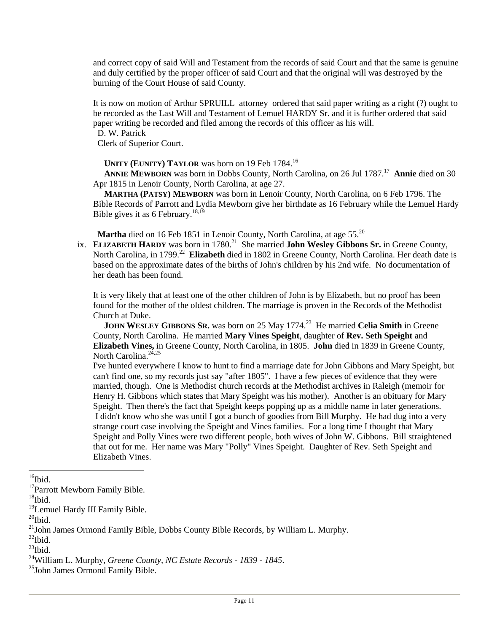and correct copy of said Will and Testament from the records of said Court and that the same is genuine and duly certified by the proper officer of said Court and that the original will was destroyed by the burning of the Court House of said County.

It is now on motion of Arthur SPRUILL attorney ordered that said paper writing as a right (?) ought to be recorded as the Last Will and Testament of Lemuel HARDY Sr. and it is further ordered that said paper writing be recorded and filed among the records of this officer as his will.

D. W. Patrick

Clerk of Superior Court.

**UNITY (EUNITY) TAYLOR** was born on 19 Feb 1784.<sup>16</sup>

ANNIE MEWBORN was born in Dobbs County, North Carolina, on 26 Jul 1787.<sup>17</sup> Annie died on 30 Apr 1815 in Lenoir County, North Carolina, at age 27.

 **MARTHA (PATSY) MEWBORN** was born in Lenoir County, North Carolina, on 6 Feb 1796. The Bible Records of Parrott and Lydia Mewborn give her birthdate as 16 February while the Lemuel Hardy Bible gives it as 6 February.<sup>18,19</sup>

Martha died on 16 Feb 1851 in Lenoir County, North Carolina, at age 55.<sup>20</sup>

ix. ELIZABETH HARDY was born in 1780.<sup>21</sup> She married John Wesley Gibbons Sr. in Greene County, North Carolina, in 1799.<sup>22</sup> Elizabeth died in 1802 in Greene County, North Carolina. Her death date is based on the approximate dates of the births of John's children by his 2nd wife. No documentation of her death has been found.

It is very likely that at least one of the other children of John is by Elizabeth, but no proof has been found for the mother of the oldest children. The marriage is proven in the Records of the Methodist Church at Duke.

**JOHN WESLEY GIBBONS SR.** was born on 25 May 1774.<sup>23</sup> He married Celia Smith in Greene County, North Carolina. He married **Mary Vines Speight**, daughter of **Rev. Seth Speight** and **Elizabeth Vines,** in Greene County, North Carolina, in 1805. **John** died in 1839 in Greene County, North Carolina.<sup>24,25</sup>

I've hunted everywhere I know to hunt to find a marriage date for John Gibbons and Mary Speight, but can't find one, so my records just say "after 1805". I have a few pieces of evidence that they were married, though. One is Methodist church records at the Methodist archives in Raleigh (memoir for Henry H. Gibbons which states that Mary Speight was his mother). Another is an obituary for Mary Speight. Then there's the fact that Speight keeps popping up as a middle name in later generations. I didn't know who she was until I got a bunch of goodies from Bill Murphy. He had dug into a very strange court case involving the Speight and Vines families. For a long time I thought that Mary Speight and Polly Vines were two different people, both wives of John W. Gibbons. Bill straightened that out for me. Her name was Mary "Polly" Vines Speight. Daughter of Rev. Seth Speight and Elizabeth Vines.

 $\overline{a}$ 

 $^{22}$ Ibid.

 $^{23}$ Ibid.

 $16$ Ibid.

<sup>&</sup>lt;sup>17</sup>Parrott Mewborn Family Bible.

 $18$ Ibid.

<sup>&</sup>lt;sup>19</sup>Lemuel Hardy III Family Bible.

 $^{20}$ Ibid.

<sup>&</sup>lt;sup>21</sup>John James Ormond Family Bible, Dobbs County Bible Records, by William L. Murphy.

<sup>24</sup>William L. Murphy, *Greene County, NC Estate Records - 1839 - 1845*.

<sup>&</sup>lt;sup>25</sup>John James Ormond Family Bible.